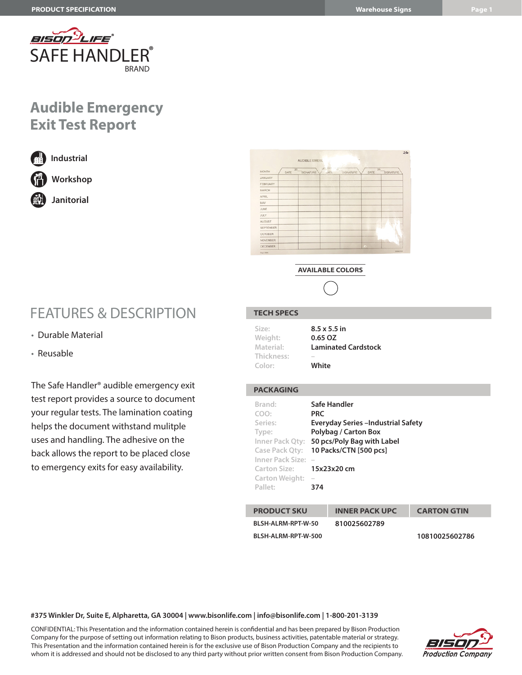

## **Audible Emergency Exit Test Report**



**Industrial Workshop**

**Janitorial**

## FEATURES & DESCRIPTION

- Durable Material
- Reusable

The Safe Handler® audible emergency exit test report provides a source to document your regular tests. The lamination coating helps the document withstand mulitple uses and handling. The adhesive on the back allows the report to be placed close to emergency exits for easy availability.

|                 |            | <b>AUDIBLE EMERG</b> |             |           |           |                 |           |  |
|-----------------|------------|----------------------|-------------|-----------|-----------|-----------------|-----------|--|
| <b>MONTH</b>    | 20<br>DATE | SIGNATURE            | <b>JATE</b> | SIGNATURE | DATE      | $\overline{20}$ | SIGNATURE |  |
| <b>JANUARY</b>  |            |                      |             |           |           |                 |           |  |
| FEBRUARY        |            |                      |             |           |           |                 |           |  |
| <b>MARCH</b>    |            |                      |             |           |           |                 |           |  |
| <b>APRIL</b>    |            |                      |             |           |           |                 |           |  |
| <b>MAY</b>      |            |                      |             |           |           |                 |           |  |
| <b>JUNE</b>     |            |                      |             |           |           |                 |           |  |
| <b>JULY</b>     |            |                      |             |           |           |                 |           |  |
| <b>AUGUST</b>   |            |                      |             |           |           |                 | ÷         |  |
| SEPTEMBER       |            |                      |             |           |           |                 |           |  |
| <b>OCTOBER</b>  |            |                      |             |           |           |                 |           |  |
| <b>NOVEMBER</b> |            |                      |             |           |           |                 |           |  |
| DECEMBER        |            |                      |             |           | $\bullet$ |                 |           |  |

**AVAILABLE COLORS**



### **TECH SPECS**

| Size:                             | $8.5 \times 5.5$ in                 |  |  |  |
|-----------------------------------|-------------------------------------|--|--|--|
| Weight:                           | 0.65 OZ                             |  |  |  |
| Material:<br>Thickness:<br>Color: | <b>Laminated Cardstock</b><br>White |  |  |  |

#### **PACKAGING**

| Brand:<br>COO:<br>Series:<br>Type:<br>Inner Pack Qty:<br>Case Pack Qty:<br>Inner Pack Size:<br>Carton Size: 15x23x20 cm<br>Carton Weight:<br>Pallet: | <b>PRC</b><br>$\overline{\phantom{a}}$<br>374 | Safe Handler<br>Everyday Series - Industrial Safety<br>Polybag / Carton Box<br>50 pcs/Poly Bag with Label<br>10 Packs/CTN [500 pcs] |                    |  |  |  |
|------------------------------------------------------------------------------------------------------------------------------------------------------|-----------------------------------------------|-------------------------------------------------------------------------------------------------------------------------------------|--------------------|--|--|--|
| <b>PRODUCT SKU</b>                                                                                                                                   |                                               | <b>INNER PACK UPC</b>                                                                                                               | <b>CARTON GTIN</b> |  |  |  |
| BLSH-ALRM-RPT-W-50                                                                                                                                   |                                               | 810025602789                                                                                                                        |                    |  |  |  |

**BLSH-ALRM-RPT-W-500 10810025602786**

#### **#375 Winkler Dr, Suite E, Alpharetta, GA 30004 | www.bisonlife.com | info@bisonlife.com | 1-800-201-3139**

CONFIDENTIAL: This Presentation and the information contained herein is confidential and has been prepared by Bison Production Company for the purpose of setting out information relating to Bison products, business activities, patentable material or strategy. This Presentation and the information contained herein is for the exclusive use of Bison Production Company and the recipients to whom it is addressed and should not be disclosed to any third party without prior written consent from Bison Production Company.